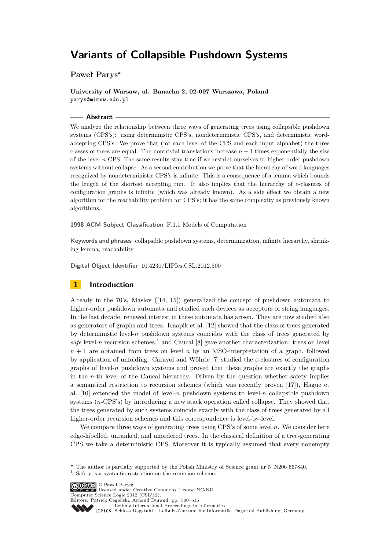**Paweł Parys<sup>∗</sup>**

**University of Warsaw, ul. Banacha 2, 02-097 Warszawa, Poland parys@mimuw.edu.pl**

# **Abstract**

We analyze the relationship between three ways of generating trees using collapsible pushdown systems (CPS's): using deterministic CPS's, nondeterministic CPS's, and deterministic wordaccepting CPS's. We prove that (for each level of the CPS and each input alphabet) the three classes of trees are equal. The nontrivial translations increase  $n-1$  times exponentially the size of the level-*n* CPS. The same results stay true if we restrict ourselves to higher-order pushdown systems without collapse. As a second contribution we prove that the hierarchy of word languages recognized by nondeterministic CPS's is infinite. This is a consequence of a lemma which bounds the length of the shortest accepting run. It also implies that the hierarchy of *ε*-closures of configuration graphs is infinite (which was already known). As a side effect we obtain a new algorithm for the reachability problem for CPS's; it has the same complexity as previously known algorithms.

**1998 ACM Subject Classification** F.1.1 Models of Computation

**Keywords and phrases** collapsible pushdown systems, determinization, infinite hierarchy, shrinking lemma, reachability

**Digital Object Identifier** [10.4230/LIPIcs.CSL.2012.500](http://dx.doi.org/10.4230/LIPIcs.CSL.2012.500)

# **1 Introduction**

Already in the 70's, Maslov ([\[14,](#page-15-0) [15\]](#page-15-1)) generalized the concept of pushdown automata to higher-order pushdown automata and studied such devices as acceptors of string languages. In the last decade, renewed interest in these automata has arisen. They are now studied also as generators of graphs and trees. Knapik et al. [\[12\]](#page-14-0) showed that the class of trees generated by deterministic level- $n$  pushdown systems coincides with the class of trees generated by *safe* level-*n* recursion schemes,<sup>1</sup> and Caucal [\[8\]](#page-14-1) gave another characterization: trees on level *n* + 1 are obtained from trees on level *n* by an MSO-interpretation of a graph, followed by application of unfolding. Carayol and Wöhrle [\[7\]](#page-14-2) studied the *ε*-closures of configuration graphs of level-*n* pushdown systems and proved that these graphs are exactly the graphs in the *n*-th level of the Caucal hierarchy. Driven by the question whether safety implies a semantical restriction to recursion schemes (which was recently proven [\[17\]](#page-15-2)), Hague et al.  $[10]$  extended the model of level-*n* pushdown systems to level-*n* collapsible pushdown systems (*n*-CPS's) by introducing a new stack operation called collapse. They showed that the trees generated by such systems coincide exactly with the class of trees generated by all higher-order recursion schemes and this correspondence is level-by-level.

We compare three ways of generating trees using CPS's of some level *n*. We consider here edge-labelled, unranked, and unordered trees. In the classical definition of a tree-generating CPS we take a deterministic CPS. Moreover it is typically assumed that every nonempty

© Paweł Parys; licensed under Creative Commons License NC-ND

Computer Science Logic 2012 (CSL'12). Editors: Patrick Cégielski, Arnaud Durand; pp. 500[–515](#page-15-3)

[Leibniz International Proceedings in Informatics](http://www.dagstuhl.de/lipics/)

**<sup>∗</sup>** The author is partially supported by the Polish Ministry of Science grant nr N N206 567840.

Safety is a syntactic restriction on the recursion scheme.

Leibniz international Froceedings in informatik, Dagstuhl Publishing, Germany<br>LIPICS [Schloss Dagstuhl – Leibniz-Zentrum für Informatik, Dagstuhl Publishing, Germany](http://www.dagstuhl.de)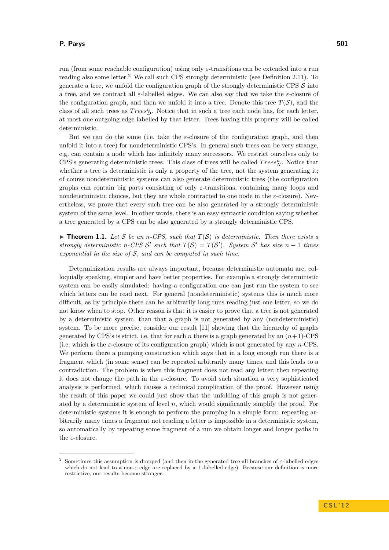run (from some reachable configuration) using only *ε*-transitions can be extended into a run reading also some letter.<sup>2</sup> We call such CPS strongly deterministic (see Definition [2.11\)](#page-5-0). To generate a tree, we unfold the configuration graph of the strongly deterministic CPS  $\mathcal{S}$  into a tree, and we contract all *ε*-labelled edges. We can also say that we take the *ε*-closure of the configuration graph, and then we unfold it into a tree. Denote this tree  $T(S)$ , and the class of all such trees as  $Trees_D^n$ . Notice that in such a tree each node has, for each letter, at most one outgoing edge labelled by that letter. Trees having this property will be called deterministic.

But we can do the same (i.e. take the  $\varepsilon$ -closure of the configuration graph, and then unfold it into a tree) for nondeterministic CPS's. In general such trees can be very strange, e.g. can contain a node which has infinitely many successors. We restrict ourselves only to CPS's generating deterministic trees. This class of trees will be called  $Trees_N^n$ . Notice that whether a tree is deterministic is only a property of the tree, not the system generating it; of course nondeterministic systems can also generate deterministic trees (the configuration graphs can contain big parts consisting of only *ε*-transitions, containing many loops and nondeterministic choices, but they are whole contracted to one node in the *ε*-closure). Nevertheless, we prove that every such tree can be also generated by a strongly deterministic system of the same level. In other words, there is an easy syntactic condition saying whether a tree generated by a CPS can be also generated by a strongly deterministic CPS.

<span id="page-1-0"></span> $\triangleright$  **Theorem 1.1.** Let S be an *n*-CPS, such that  $T(S)$  is deterministic. Then there exists a *strongly deterministic n*-CPS S' such that  $T(S) = T(S')$ . System S' has size  $n - 1$  times *exponential in the size of* S*, and can be computed in such time.*

Determinization results are always important, because deterministic automata are, colloquially speaking, simpler and have better properties. For example a strongly deterministic system can be easily simulated: having a configuration one can just run the system to see which letters can be read next. For general (nondeterministic) systems this is much more difficult, as by principle there can be arbitrarily long runs reading just one letter, so we do not know when to stop. Other reason is that it is easier to prove that a tree is not generated by a deterministic system, than that a graph is not generated by any (nondeterministic) system. To be more precise, consider our result [\[11\]](#page-14-4) showing that the hierarchy of graphs generated by CPS's is strict, i.e. that for each *n* there is a graph generated by an  $(n+1)$ -CPS (i.e. which is the *ε*-closure of its configuration graph) which is not generated by any *n*-CPS. We perform there a pumping construction which says that in a long enough run there is a fragment which (in some sense) can be repeated arbitrarily many times, and this leads to a contradiction. The problem is when this fragment does not read any letter; then repeating it does not change the path in the *ε*-closure. To avoid such situation a very sophisticated analysis is performed, which causes a technical complication of the proof. However using the result of this paper we could just show that the unfolding of this graph is not generated by a deterministic system of level *n*, which would significantly simplify the proof. For deterministic systems it is enough to perform the pumping in a simple form: repeating arbitrarily many times a fragment not reading a letter is impossible in a deterministic system, so automatically by repeating some fragment of a run we obtain longer and longer paths in the *ε*-closure.

<sup>2</sup> Sometimes this assumption is dropped (and then in the generated tree all branches of *ε*-labelled edges which do not lead to a non-*ε* edge are replaced by a ⊥-labelled edge). Because our definition is more restrictive, our results become stronger.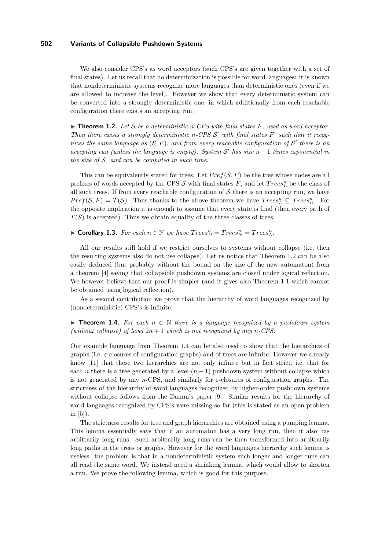We also consider CPS's as word acceptors (such CPS's are given together with a set of final states). Let us recall that no determinization is possible for word languages: it is known that nondeterministic systems recognize more languages than deterministic ones (even if we are allowed to increase the level). However we show that every deterministic system can be converted into a strongly deterministic one, in which additionally from each reachable configuration there exists an accepting run.

<span id="page-2-0"></span> $\triangleright$  **Theorem 1.2.** Let S be a deterministic *n*-CPS with final states F, used as word acceptor. *Then there exists a strongly deterministic n-CPS*  $S'$  *with final states*  $F'$  such that it recognizes the same language as  $(S, F)$ , and from every reachable configuration of  $S'$  there is an  $accepting run (unless the language is empty). System S' has size  $n-1$  times exponential in$ *the size of* S*, and can be computed in such time.*

This can be equivalently stated for trees. Let  $Pref(S, F)$  be the tree whose nodes are all prefixes of words accepted by the CPS  $S$  with final states  $F$ , and let  $Trees_L^n$  be the class of all such trees. If from every reachable configuration of  $S$  there is an accepting run, we have  $Pref(S, F) = T(S)$ . Thus thanks to the above theorem we have  $Trees_L^n \subseteq Trees_D^n$ . For the opposite implication it is enough to assume that every state is final (then every path of  $T(S)$  is accepted). Thus we obtain equality of the three classes of trees.

▶ **Corollary 1.3.** *For each*  $n \in \mathbb{N}$  *we have*  $Trees_D^n = Trees_N^n = Trees_L^n$ .

All our results still hold if we restrict ourselves to systems without collapse (i.e. then the resulting systems also do not use collapse). Let us notice that Theorem [1.2](#page-2-0) can be also easily deduced (but probably without the bound on the size of the new automaton) from a theorem [\[4\]](#page-14-5) saying that collapsible pushdown systems are closed under logical reflection. We however believe that our proof is simpler (and it gives also Theorem [1.1](#page-1-0) which cannot be obtained using logical reflection).

As a second contribution we prove that the hierarchy of word languages recognized by (nondeterministic) CPS's is infinite.

<span id="page-2-1"></span>**► Theorem 1.4.** For each  $n \in \mathbb{N}$  there is a language recognized by a pushdown system *(without collapse) of level*  $2n + 1$  *which is not recognized by any n*-*CPS*.

Our example language from Theorem [1.4](#page-2-1) can be also used to show that the hierarchies of graphs (i.e. *ε*-closures of configuration graphs) and of trees are infinite. However we already know [\[11\]](#page-14-4) that these two hierarchies are not only infinite but in fact strict, i.e. that for each *n* there is a tree generated by a level- $(n + 1)$  pushdown system without collapse which is not generated by any *n*-CPS, and similarly for *ε*-closures of configuration graphs. The strictness of the hierarchy of word languages recognized by higher-order pushdown systems without collapse follows from the Damm's paper [\[9\]](#page-14-6). Similar results for the hierarchy of word languages recognized by CPS's were missing so far (this is stated as an open problem in  $[5]$ ).

The strictness results for tree and graph hierarchies are obtained using a pumping lemma. This lemma essentially says that if an automaton has a very long run, then it also has arbitrarily long runs. Such arbitrarily long runs can be then transformed into arbitrarily long paths in the trees or graphs. However for the word languages hierarchy such lemma is useless: the problem is that in a nondeterministic system such longer and longer runs can all read the same word. We instead need a shrinking lemma, which would allow to shorten a run. We prove the following lemma, which is good for this purpose.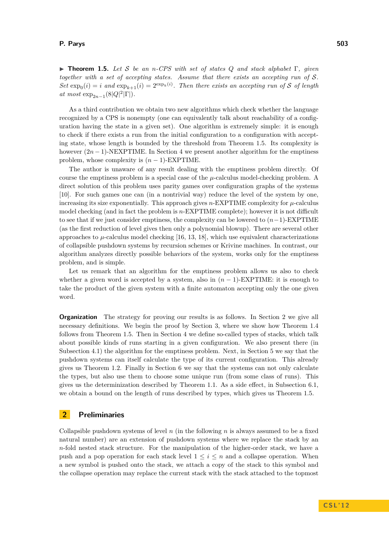<span id="page-3-0"></span>I **Theorem 1.5.** *Let* S *be an n-CPS with set of states Q and stack alphabet* Γ*, given together with a set of accepting states. Assume that there exists an accepting run of* S*.*  $Set \exp_0(i) = i$  and  $\exp_{k+1}(i) = 2^{\exp_k(i)}$ . Then there exists an accepting run of S of length  $at \; most \; \exp_{2n-1}(8|Q|^2|\Gamma|).$ 

As a third contribution we obtain two new algorithms which check whether the language recognized by a CPS is nonempty (one can equivalently talk about reachability of a configuration having the state in a given set). One algorithm is extremely simple: it is enough to check if there exists a run from the initial configuration to a configuration with accepting state, whose length is bounded by the threshold from Theorem [1.5.](#page-3-0) Its complexity is however  $(2n-1)$ -NEXPTIME. In Section [4](#page-6-0) we present another algorithm for the emptiness problem, whose complexity is  $(n - 1)$ -EXPTIME.

The author is unaware of any result dealing with the emptiness problem directly. Of course the emptiness problem is a special case of the *µ*-calculus model-checking problem. A direct solution of this problem uses parity games over configuration graphs of the systems [\[10\]](#page-14-3). For such games one can (in a nontrivial way) reduce the level of the system by one, increasing its size exponentially. This approach gives *n*-EXPTIME complexity for *µ*-calculus model checking (and in fact the problem is *n*-EXPTIME complete); however it is not difficult to see that if we just consider emptiness, the complexity can be lowered to (*n*−1)-EXPTIME (as the first reduction of level gives then only a polynomial blowup). There are several other approaches to  $\mu$ -calculus model checking [\[16,](#page-15-4) [13,](#page-14-8) [18\]](#page-15-5), which use equivalent characterizations of collapsible pushdown systems by recursion schemes or Krivine machines. In contrast, our algorithm analyzes directly possible behaviors of the system, works only for the emptiness problem, and is simple.

Let us remark that an algorithm for the emptiness problem allows us also to check whether a given word is accepted by a system, also in  $(n-1)$ -EXPTIME: it is enough to take the product of the given system with a finite automaton accepting only the one given word.

**Organization** The strategy for proving our results is as follows. In Section [2](#page-3-1) we give all necessary definitions. We begin the proof by Section [3,](#page-6-1) where we show how Theorem [1.4](#page-2-1) follows from Theorem [1.5.](#page-3-0) Then in Section [4](#page-6-0) we define so-called types of stacks, which talk about possible kinds of runs starting in a given configuration. We also present there (in Subsection [4.1\)](#page-9-0) the algorithm for the emptiness problem. Next, in Section [5](#page-9-1) we say that the pushdown systems can itself calculate the type of its current configuration. This already gives us Theorem [1.2.](#page-2-0) Finally in Section [6](#page-11-0) we say that the systems can not only calculate the types, but also use them to choose some unique run (from some class of runs). This gives us the determinization described by Theorem [1.1.](#page-1-0) As a side effect, in Subsection [6.1,](#page-12-0) we obtain a bound on the length of runs described by types, which gives us Theorem [1.5.](#page-3-0)

# <span id="page-3-1"></span>**2 Preliminaries**

Collapsible pushdown systems of level *n* (in the following *n* is always assumed to be a fixed natural number) are an extension of pushdown systems where we replace the stack by an *n*-fold nested stack structure. For the manipulation of the higher-order stack, we have a push and a pop operation for each stack level  $1 \leq i \leq n$  and a collapse operation. When a new symbol is pushed onto the stack, we attach a copy of the stack to this symbol and the collapse operation may replace the current stack with the stack attached to the topmost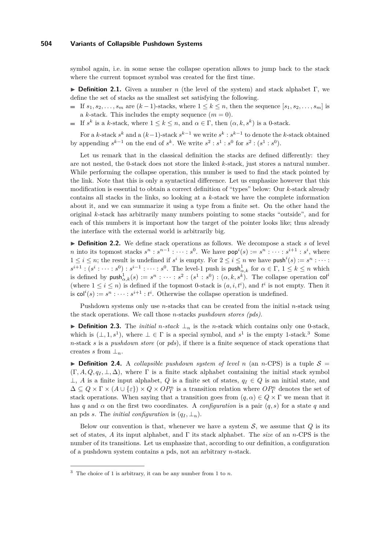symbol again, i.e. in some sense the collapse operation allows to jump back to the stack where the current topmost symbol was created for the first time.

I **Definition 2.1.** Given a number *n* (the level of the system) and stack alphabet Γ, we define the set of stacks as the smallest set satisfying the following.

- If  $s_1, s_2, \ldots, s_m$  are  $(k-1)$ -stacks, where  $1 \leq k \leq n$ , then the sequence  $[s_1, s_2, \ldots, s_m]$  is a *k*-stack. This includes the empty sequence  $(m = 0)$ .
- If  $s^k$  is a *k*-stack, where  $1 \leq k \leq n$ , and  $\alpha \in \Gamma$ , then  $(\alpha, k, s^k)$  is a 0-stack.

For a *k*-stack  $s^k$  and a  $(k-1)$ -stack  $s^{k-1}$  we write  $s^k : s^{k-1}$  to denote the *k*-stack obtained by appending  $s^{k-1}$  on the end of  $s^k$ . We write  $s^2 : s^1 : s^0$  for  $s^2 : (s^1 : s^0)$ .

Let us remark that in the classical definition the stacks are defined differently: they are not nested, the 0-stack does not store the linked *k*-stack, just stores a natural number. While performing the collapse operation, this number is used to find the stack pointed by the link. Note that this is only a syntactical difference. Let us emphasize however that this modification is essential to obtain a correct definition of "types" below: Our *k*-stack already contains all stacks in the links, so looking at a *k*-stack we have the complete information about it, and we can summarize it using a type from a finite set. On the other hand the original *k*-stack has arbitrarily many numbers pointing to some stacks "outside", and for each of this numbers it is important how the target of the pointer looks like; thus already the interface with the external world is arbitrarily big.

▶ **Definition 2.2.** We define stack operations as follows. We decompose a stack *s* of level *n* into its topmost stacks  $s^n : s^{n-1} : \cdots : s^0$ . We have  $\text{pop}^i(s) := s^n : \cdots : s^{i+1} : s^i$ , where  $1 \leq i \leq n$ ; the result is undefined if  $s^i$  is empty. For  $2 \leq i \leq n$  we have push<sup>i</sup>(s) :=  $s^n : \cdots$  :  $s^{i+1}$ :  $(s^i : \cdots : s^0) : s^{i-1} : \cdots : s^0$ . The level-1 push is push $_{\alpha,k}^1$  for  $\alpha \in \Gamma$ ,  $1 \leq k \leq n$  which is defined by  $\textsf{push}_{\alpha,k}^1(s) := s^n : \dots : s^2 : (s^1 : s^0) : (\alpha, k, s^k)$ . The collapse operation  $\textsf{col}^i$ (where  $1 \leq i \leq n$ ) is defined if the topmost 0-stack is  $(a, i, t^i)$ , and  $t^i$  is not empty. Then it is  $col<sup>i</sup>(s) := s<sup>n</sup> : \cdots : s<sup>i+1</sup> : t<sup>i</sup>$ . Otherwise the collapse operation is undefined.

Pushdown systems only use *n*-stacks that can be created from the initial *n*-stack using the stack operations. We call those *n*-stacks *pushdown stores (pds)*.

**► Definition 2.3.** The *initial n-stack*  $\perp$ <sub>*n*</sub> is the *n*-stack which contains only one 0-stack, which is  $(\perp, 1, s^1)$ , where  $\perp \in \Gamma$  is a special symbol, and  $s^1$  is the empty 1-stack.<sup>3</sup> Some *n*-stack *s* is a *pushdown store* (or *pds*), if there is a finite sequence of stack operations that creates *s* from  $\perp_n$ .

**Definition 2.4.** A *collapsible pushdown system of level n* (an *n*-CPS) is a tuple  $S =$  $(\Gamma, A, Q, q_I, \perp, \Delta)$ , where  $\Gamma$  is a finite stack alphabet containing the initial stack symbol ⊥, *A* is a finite input alphabet, *Q* is a finite set of states,  $q_I \in Q$  is an initial state, and  $\Delta \subseteq Q \times \Gamma \times (A \cup {\varepsilon}) \times Q \times OP_T^n$  is a transition relation where  $OP_T^n$  denotes the set of stack operations. When saying that a transition goes from  $(q, \alpha) \in Q \times \Gamma$  we mean that it has *q* and *α* on the first two coordinates. A *configuration* is a pair  $(q, s)$  for a state *q* and an pds *s*. The *initial configuration* is  $(q_I, \perp_n)$ .

Below our convention is that, whenever we have a system  $S$ , we assume that  $Q$  is its set of states, *A* its input alphabet, and Γ its stack alphabet. The *size* of an *n*-CPS is the number of its transitions. Let us emphasize that, according to our definition, a configuration of a pushdown system contains a pds, not an arbitrary *n*-stack.

<sup>3</sup> The choice of 1 is arbitrary, it can be any number from 1 to *n*.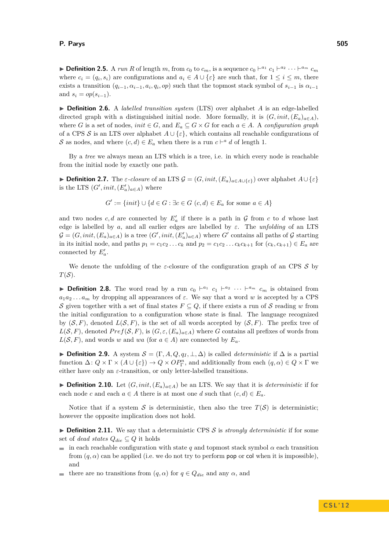**Definition 2.5.** A *run R* of length *m*, from  $c_0$  to  $c_m$ , is a sequence  $c_0 \vdash^{a_1} c_1 \vdash^{a_2} \cdots \vdash^{a_m} c_m$ where  $c_i = (q_i, s_i)$  are configurations and  $a_i \in A \cup \{\varepsilon\}$  are such that, for  $1 \leq i \leq m$ , there exists a transition  $(q_{i-1}, \alpha_{i-1}, a_i, q_i, op)$  such that the topmost stack symbol of  $s_{i-1}$  is  $\alpha_{i-1}$ and  $s_i = op(s_{i-1}).$ 

▶ **Definition 2.6.** A *labelled transition system* (LTS) over alphabet *A* is an edge-labelled directed graph with a distinguished initial node. More formally, it is  $(G, init, (E_a)_{a \in A})$ , where *G* is a set of nodes, *init*  $\in$  *G*, and  $E_a \subseteq G \times G$  for each  $a \in A$ . A *configuration graph* of a CPS S is an LTS over alphabet  $A \cup \{\varepsilon\}$ , which contains all reachable configurations of S as nodes, and where  $(c, d) \in E_a$  when there is a run  $c \vdash^a d$  of length 1.

By a *tree* we always mean an LTS which is a tree, i.e. in which every node is reachable from the initial node by exactly one path.

 $\blacktriangleright$  **Definition 2.7.** The *ε-closure* of an LTS  $\mathcal{G} = (G, init, (E_a)_{a \in A \cup \{\varepsilon\}})$  over alphabet  $A \cup \{\varepsilon\}$ is the LTS  $(G', init, (E'_a)_{a \in A})$  where

$$
G' := \{init\} \cup \{d \in G : \exists c \in G \ (c, d) \in E_a \text{ for some } a \in A\}
$$

and two nodes  $c, d$  are connected by  $E_a'$  if there is a path in  $\mathcal G$  from  $c$  to  $d$  whose last edge is labelled by *a*, and all earlier edges are labelled by *ε*. The *unfolding* of an LTS  $\mathcal{G} = (G, init, (E_a)_{a \in A})$  is a tree  $(G', init, (E'_a)_{a \in A})$  where  $G'$  contains all paths of  $\mathcal G$  starting in its initial node, and paths  $p_1 = c_1 c_2 \dots c_k$  and  $p_2 = c_1 c_2 \dots c_k c_{k+1}$  for  $(c_k, c_{k+1}) \in E_a$  are connected by  $E_a'$ .

We denote the unfolding of the  $\varepsilon$ -closure of the configuration graph of an CPS  $\mathcal S$  by  $T(S)$ .

**Definition 2.8.** The word read by a run  $c_0 \vdash^{a_1} c_1 \vdash^{a_2} \cdots \vdash^{a_m} c_m$  is obtained from  $a_1 a_2 \ldots a_m$  by dropping all appearances of  $\varepsilon$ . We say that a word *w* is accepted by a CPS S given together with a set of final states  $F \subseteq Q$ , if there exists a run of S reading *w* from the initial configuration to a configuration whose state is final. The language recognized by  $(S, F)$ , denoted  $L(S, F)$ , is the set of all words accepted by  $(S, F)$ . The prefix tree of  $L(S, F)$ , denoted  $Pref(S, F)$ , is  $(G, \varepsilon, (E_a)_{a \in A})$  where *G* contains all prefixes of words from  $L(S, F)$ , and words *w* and *wa* (for  $a \in A$ ) are connected by  $E_a$ .

 $\triangleright$  **Definition 2.9.** A system  $\mathcal{S} = (\Gamma, A, Q, q_I, \bot, \Delta)$  is called *deterministic* if  $\Delta$  is a partial function  $\Delta: Q \times \Gamma \times (A \cup {\epsilon}) \to Q \times OP_{\Gamma}^n$ , and additionally from each  $(q, \alpha) \in Q \times \Gamma$  we either have only an  $\varepsilon$ -transition, or only letter-labelled transitions.

**► Definition 2.10.** Let  $(G, init, (E_a)_{a \in A})$  be an LTS. We say that it is *deterministic* if for each node *c* and each  $a \in A$  there is at most one *d* such that  $(c, d) \in E_a$ .

Notice that if a system S is deterministic, then also the tree  $T(S)$  is deterministic; however the opposite implication does not hold.

<span id="page-5-0"></span> $\triangleright$  **Definition 2.11.** We say that a deterministic CPS S is *strongly deterministic* if for some set of *dead states*  $Q_{die} \subseteq Q$  it holds

- in each reachable configuration with state *q* and topmost stack symbol  $\alpha$  each transition from  $(q, \alpha)$  can be applied (i.e. we do not try to perform **pop** or col when it is impossible), and
- $\blacksquare$  there are no transitions from  $(q, α)$  for  $q ∈ Q_{die}$  and any  $α$ , and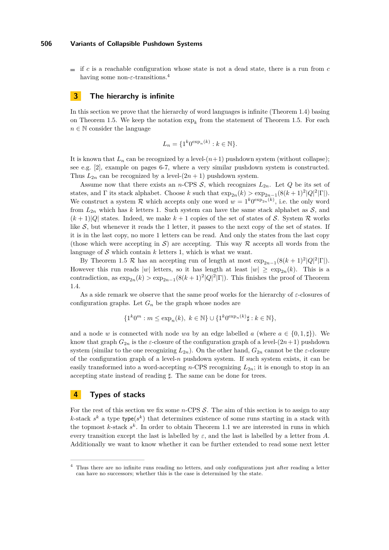$\equiv$  if *c* is a reachable configuration whose state is not a dead state, there is a run from *c* having some non-*ε*-transitions.<sup>4</sup>

# <span id="page-6-1"></span>**3 The hierarchy is infinite**

In this section we prove that the hierarchy of word languages is infinite (Theorem [1.4\)](#page-2-1) basing on Theorem [1.5.](#page-3-0) We keep the notation  $\exp_k$  from the statement of Theorem 1.5. For each  $n \in \mathbb{N}$  consider the language

$$
L_n = \{1^k 0^{\exp_n(k)} : k \in \mathbb{N}\}.
$$

It is known that  $L_n$  can be recognized by a level- $(n+1)$  pushdown system (without collapse); see e.g. [\[2\]](#page-14-9), example on pages 6-7, where a very similar pushdown system is constructed. Thus  $L_{2n}$  can be recognized by a level- $(2n + 1)$  pushdown system.

Assume now that there exists an *n*-CPS  $S$ , which recognizes  $L_{2n}$ . Let  $Q$  be its set of states, and  $\Gamma$  its stack alphabet. Choose *k* such that  $\exp_{2n}(k) > \exp_{2n-1}(8(k+1)^2|Q|^2|\Gamma|)$ . We construct a system  $\mathcal R$  which accepts only one word  $w = 1^k 0^{\exp_{2n}(k)}$ , i.e. the only word from  $L_{2n}$  which has *k* letters 1. Such system can have the same stack alphabet as  $S$ , and  $(k+1)|Q|$  states. Indeed, we make  $k+1$  copies of the set of states of S. System R works like  $S$ , but whenever it reads the 1 letter, it passes to the next copy of the set of states. If it is in the last copy, no more 1 letters can be read. And only the states from the last copy (those which were accepting in  $\mathcal{S}$ ) are accepting. This way  $\mathcal{R}$  accepts all words from the language of  $S$  which contain  $k$  letters 1, which is what we want.

By Theorem [1.5](#page-3-0) R has an accepting run of length at most  $\exp_{2n-1}(8(k+1)^2|Q|^2|\Gamma|)$ . However this run reads |w| letters, so it has length at least  $|w| \ge \exp_{2n}(k)$ . This is a contradiction, as  $\exp_{2n}(k) > \exp_{2n-1}(8(k+1)^2|Q|^2|\Gamma|)$ . This finishes the proof of Theorem [1.4.](#page-2-1)

As a side remark we observe that the same proof works for the hierarchy of *ε*-closures of configuration graphs. Let  $G_n$  be the graph whose nodes are

$$
\{1^k 0^m : m \le \exp_n(k), \ k \in \mathbb{N}\} \cup \{1^k 0^{\exp_n(k)} \sharp : k \in \mathbb{N}\},\
$$

and a node *w* is connected with node *wa* by an edge labelled *a* (where  $a \in \{0, 1, \sharp\}$ ). We know that graph  $G_{2n}$  is the *ε*-closure of the configuration graph of a level- $(2n+1)$  pushdown system (similar to the one recognizing  $L_{2n}$ ). On the other hand,  $G_{2n}$  cannot be the  $\varepsilon$ -closure of the configuration graph of a level-*n* pushdown system. If such system exists, it can be easily transformed into a word-accepting *n*-CPS recognizing  $L_{2n}$ ; it is enough to stop in an accepting state instead of reading *]*. The same can be done for trees.

# <span id="page-6-0"></span>**4 Types of stacks**

For the rest of this section we fix some *n*-CPS S. The aim of this section is to assign to any *k*-stack  $s^k$  a type type( $s^k$ ) that determines existence of some runs starting in a stack with the topmost *k*-stack *s k* . In order to obtain Theorem [1.1](#page-1-0) we are interested in runs in which every transition except the last is labelled by  $\varepsilon$ , and the last is labelled by a letter from *A*. Additionally we want to know whether it can be further extended to read some next letter

<sup>4</sup> Thus there are no infinite runs reading no letters, and only configurations just after reading a letter can have no successors; whether this is the case is determined by the state.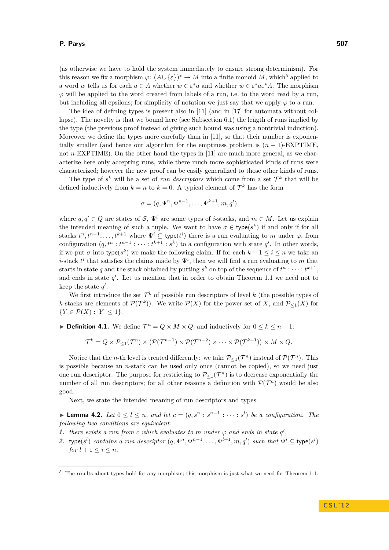(as otherwise we have to hold the system immediately to ensure strong determinism). For this reason we fix a morphism  $\varphi: (A \cup \{\varepsilon\})^* \to M$  into a finite monoid M, which<sup>5</sup> applied to a word *w* tells us for each  $a \in A$  whether  $w \in \varepsilon^* a$  and whether  $w \in \varepsilon^* a \varepsilon^* A$ . The morphism  $\varphi$  will be applied to the word created from labels of a run, i.e. to the word read by a run, but including all epsilons; for simplicity of notation we just say that we apply  $\varphi$  to a run.

The idea of defining types is present also in [\[11\]](#page-14-4) (and in [\[17\]](#page-15-2) for automata without collapse). The novelty is that we bound here (see Subsection [6.1\)](#page-12-0) the length of runs implied by the type (the previous proof instead of giving such bound was using a nontrivial induction). Moreover we define the types more carefully than in [\[11\]](#page-14-4), so that their number is exponentially smaller (and hence our algorithm for the emptiness problem is  $(n-1)$ -EXPTIME, not *n*-EXPTIME). On the other hand the types in [\[11\]](#page-14-4) are much more general, as we characterize here only accepting runs, while there much more sophisticated kinds of runs were characterized; however the new proof can be easily generalized to those other kinds of runs.

The type of  $s^k$  will be a set of *run descriptors* which come from a set  $\mathcal{T}^k$  that will be defined inductively from  $k = n$  to  $k = 0$ . A typical element of  $\mathcal{T}^k$  has the form

$$
\sigma = (q, \Psi^n, \Psi^{n-1}, \dots, \Psi^{k+1}, m, q')
$$

where  $q, q' \in Q$  are states of S,  $\Psi^i$  are some types of *i*-stacks, and  $m \in M$ . Let us explain the intended meaning of such a tuple. We want to have  $\sigma \in \text{type}(s^k)$  if and only if for all stacks  $t^n, t^{n-1}, \ldots, t^{k+1}$  where  $\Psi^i \subseteq$  type $(t^i)$  there is a run evaluating to *m* under  $\varphi$ , from configuration  $(q, t^n : t^{n-1} : \cdots : t^{k+1} : s^k)$  to a configuration with state  $q'$ . In other words, if we put  $\sigma$  into type( $s^k$ ) we make the following claim. If for each  $k + 1 \leq i \leq n$  we take an *i*-stack  $t^i$  that satisfies the claims made by  $\Psi^i$ , then we will find a run evaluating to *m* that starts in state q and the stack obtained by putting  $s^k$  on top of the sequence of  $t^n : \cdots : t^{k+1}$ , and ends in state  $q'$ . Let us mention that in order to obtain Theorem [1.1](#page-1-0) we need not to keep the state  $q'$ .

We first introduce the set  $\mathcal{T}^k$  of possible run descriptors of level k (the possible types of *k*-stacks are elements of  $\mathcal{P}(\mathcal{T}^k)$ ). We write  $\mathcal{P}(X)$  for the power set of *X*, and  $\mathcal{P}_{\leq 1}(X)$  for  ${Y \in \mathcal{P}(X) : |Y| \leq 1}.$ 

**Definition 4.1.** We define  $\mathcal{T}^n = Q \times M \times Q$ , and inductively for  $0 \leq k \leq n - 1$ :

$$
\mathcal{T}^k = Q \times \mathcal{P}_{\leq 1}(\mathcal{T}^n) \times (\mathcal{P}(\mathcal{T}^{n-1}) \times \mathcal{P}(\mathcal{T}^{n-2}) \times \cdots \times \mathcal{P}(\mathcal{T}^{k+1})) \times M \times Q.
$$

Notice that the *n*-th level is treated differently: we take  $P_{\leq 1}(\mathcal{T}^n)$  instead of  $\mathcal{P}(\mathcal{T}^n)$ . This is possible because an *n*-stack can be used only once (cannot be copied), so we need just one run descriptor. The purpose for restricting to  $\mathcal{P}_{\leq 1}(\mathcal{T}^n)$  is to decrease exponentially the number of all run descriptors; for all other reasons a definition with  $\mathcal{P}(\mathcal{T}^n)$  would be also good.

Next, we state the intended meaning of run descriptors and types.

<span id="page-7-0"></span>▶ **Lemma 4.2.** *Let*  $0 \le l \le n$ , and let  $c = (q, s^n : s^{n-1} : \cdots : s^l)$  be a configuration. The *following two conditions are equivalent:*

- **1.** *there exists a run from c which evaluates to m under*  $\varphi$  *and ends in state*  $q'$ ,
- 2. type( $s^l$ ) *contains a run descriptor*  $(q, \Psi^n, \Psi^{n-1}, \dots, \Psi^{l+1}, m, q')$  *such that*  $\Psi^i \subseteq$  type( $s^i$ ) *for*  $l + 1 \le i \le n$ *.*

<sup>&</sup>lt;sup>5</sup> The results about types hold for any morphism; this morphism is just what we need for Theorem [1.1.](#page-1-0)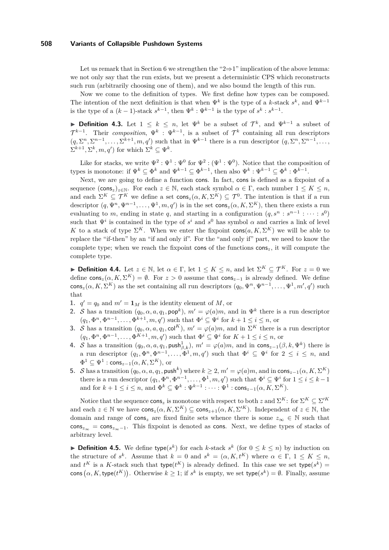Let us remark that in Section [6](#page-11-0) we strengthen the " $2\Rightarrow 1$ " implication of the above lemma: we not only say that the run exists, but we present a deterministic CPS which reconstructs such run (arbitrarily choosing one of them), and we also bound the length of this run.

Now we come to the definition of types. We first define how types can be composed. The intention of the next definition is that when  $\Psi^k$  is the type of a *k*-stack  $s^k$ , and  $\Psi^{k-1}$ is the type of a  $(k-1)$ -stack  $s^{k-1}$ , then  $\Psi^k : \Psi^{k-1}$  is the type of  $s^k : s^{k-1}$ .

<span id="page-8-0"></span>**Definition 4.3.** Let 1 ≤  $k$  ≤  $n$ , let  $\Psi^k$  be a subset of  $\mathcal{T}^k$ , and  $\Psi^{k-1}$  a subset of  $\mathcal{T}^{k-1}$ . Their *composition*,  $\Psi^k : \Psi^{k-1}$ , is a subset of  $\mathcal{T}^k$  containing all run descriptors  $(q, \Sigma^n, \Sigma^{n-1}, \ldots, \Sigma^{k+1}, m, q')$  such that in  $\Psi^{k-1}$  there is a run descriptor  $(q, \Sigma^n, \Sigma^{n-1}, \ldots, q')$  $\Sigma^{k+1}, \Sigma^k, m, q'$  for which  $\Sigma^k \subseteq \Psi^k$ .

Like for stacks, we write  $\Psi^2 : \Psi^1 : \Psi^0$  for  $\Psi^2 : (\Psi^1 : \Psi^0)$ . Notice that the composition of types is monotone: if  $\Psi^k \subseteq \Phi^k$  and  $\Psi^{k-1} \subseteq \Phi^{k-1}$ , then also  $\Psi^k : \Psi^{k-1} \subseteq \Phi^k : \Phi^{k-1}$ .

Next, we are going to define a function cons. In fact, cons is defined as a fixpoint of a sequence  $(\cos_z)_{z \in \mathbb{N}}$ . For each  $z \in \mathbb{N}$ , each stack symbol  $\alpha \in \Gamma$ , each number  $1 \leq K \leq n$ , and each  $\Sigma^K \subseteq \mathcal{T}^K$  we define a set  $\text{cons}_z(\alpha, K, \Sigma^K) \subseteq \mathcal{T}^0$ . The intention is that if a run descriptor  $(q, \Psi^n, \Psi^{n-1}, \dots, \Psi^1, m, q')$  is in the set  $\text{cons}_z(\alpha, K, \Sigma^K)$ , then there exists a run evaluating to *m*, ending in state *q*, and starting in a configuration  $(q, s^n : s^{n-1} : \cdots : s^0)$ such that  $\Psi^i$  is contained in the type of  $s^i$  and  $s^0$  has symbol  $\alpha$  and carries a link of level *K* to a stack of type  $\Sigma^K$ . When we enter the fixpoint cons $(a, K, \Sigma^K)$  we will be able to replace the "if-then" by an "if and only if". For the "and only if" part, we need to know the complete type; when we reach the fixpoint cons of the functions cons*z*, it will compute the complete type.

<span id="page-8-1"></span>**Definition 4.4.** Let  $z \in \mathbb{N}$ , let  $\alpha \in \Gamma$ , let  $1 \leq K \leq n$ , and let  $\Sigma^K \subseteq \mathcal{T}^K$ . For  $z = 0$  we define  $\text{cons}_z(\alpha, K, \Sigma^K) = \emptyset$ . For  $z > 0$  assume that  $\text{cons}_{z-1}$  is already defined. We define  $\cos z(\alpha, K, \Sigma^K)$  as the set containing all run descriptors  $(q_0, \Psi^n, \Psi^{n-1}, \dots, \Psi^1, m', q')$  such that

- **1.**  $q' = q_0$  and  $m' = \mathbf{1}_M$  is the identity element of *M*, or
- **2.** S has a transition  $(q_0, \alpha, a, q_1, \text{pop}^k)$ ,  $m' = \varphi(a)m$ , and in  $\Psi^k$  there is a run descriptor  $(q_1, \Phi^n, \Phi^{n-1}, \dots, \Phi^{k+1}, m, q')$  such that  $\Phi^i \subseteq \Psi^i$  for  $k+1 \leq i \leq n$ , or
- **3.** S has a transition  $(q_0, \alpha, a, q_1, \text{col}^K)$ ,  $m' = \varphi(a)m$ , and in  $\Sigma^K$  there is a run descriptor  $(q_1, \Phi^n, \Phi^{n-1}, \dots, \Phi^{K+1}, m, q')$  such that  $\Phi^i \subseteq \Psi^i$  for  $K + 1 \leq i \leq n$ , or
- **4.** S has a transition  $(q_0, \alpha, a, q_1, \text{push}_{\beta,k}^1), m' = \varphi(a)m$ , and in  $\text{cons}_{z-1}(\beta, k, \Psi^k)$  there is a run descriptor  $(q_1, \Phi^n, \Phi^{n-1}, \ldots, \Phi^1, m, q')$  such that  $\Phi^i \subseteq \Psi^i$  for  $2 \leq i \leq n$ , and  $\Phi^1 \subseteq \Psi^1$  :  $\mathsf{cons}_{z-1}(\alpha, K, \Sigma^K)$ , or
- **5.** S has a transition  $(q_0, \alpha, a, q_1, \text{push}^k)$  where  $k \geq 2, m' = \varphi(a)m$ , and in cons<sub>z-1</sub>( $\alpha, K, \Sigma^K$ ) there is a run descriptor  $(q_1, \Phi^n, \Phi^{n-1}, \dots, \Phi^1, m, q')$  such that  $\Phi^i \subseteq \Psi^i$  for  $1 \le i \le k-1$ and for  $k + 1 \leq i \leq n$ , and  $\Phi^k \subseteq \Psi^k : \Psi^{k-1} : \cdots : \Psi^1 : \mathsf{cons}_{z-1}(\alpha, K, \Sigma^K)$ .

Notice that the sequence  $\cos_z$  is monotone with respect to both *z* and  $\Sigma^K$ : for  $\Sigma^K \subseteq \Sigma'^K$ and each  $z \in \mathbb{N}$  we have  $\text{cons}_z(\alpha, K, \Sigma^K) \subseteq \text{cons}_{z+1}(\alpha, K, \Sigma'^K)$ . Independent of  $z \in \mathbb{N}$ , the domain and range of  $\cos z$  are fixed finite sets whence there is some  $z_{\infty} \in \mathbb{N}$  such that cons*<sup>z</sup>*<sup>∞</sup> = cons*<sup>z</sup>*∞−1. This fixpoint is denoted as cons. Next, we define types of stacks of arbitrary level.

▶ **Definition 4.5.** We define type( $s^k$ ) for each *k*-stack  $s^k$  (for  $0 \leq k \leq n$ ) by induction on the structure of  $s^k$ . Assume that  $k = 0$  and  $s^k = (\alpha, K, t^K)$  where  $\alpha \in \Gamma$ ,  $1 \leq K \leq n$ , and  $t^K$  is a K-stack such that type( $t^K$ ) is already defined. In this case we set type( $s^k$ ) = cons  $(\alpha, K, \text{type}(t^K))$ . Otherwise  $k \geq 1$ ; if  $s^k$  is empty, we set type $(s^k) = \emptyset$ . Finally, assume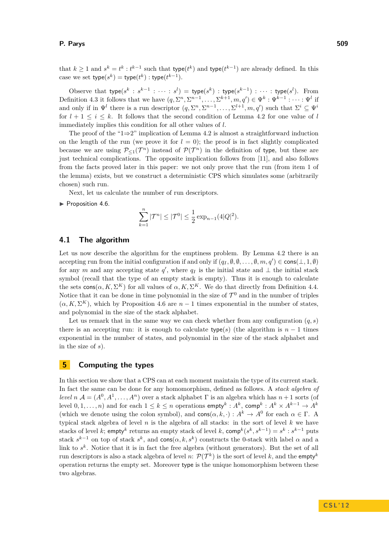that  $k \geq 1$  and  $s^k = t^k : t^{k-1}$  such that type( $t^k$ ) and type( $t^{k-1}$ ) are already defined. In this case we set  $type(s^k) = type(t^k) : type(t^{k-1})$ .

Observe that type $(s^k : s^{k-1} : \cdots : s^l) =$  type $(s^k) :$  type $(s^{k-1}) : \cdots :$  type $(s^l)$ . From Definition [4.3](#page-8-0) it follows that we have  $(q, \Sigma^n, \Sigma^{n-1}, \ldots, \Sigma^{k+1}, m, q') \in \Psi^k : \Psi^{k-1} : \cdots : \Psi^l$  if and only if in  $\Psi^l$  there is a run descriptor  $(q, \Sigma^n, \Sigma^{n-1}, \ldots, \Sigma^{l+1}, m, q')$  such that  $\Sigma^i \subseteq \Psi^i$ for  $l + 1 \leq i \leq k$ . It follows that the second condition of Lemma [4.2](#page-7-0) for one value of *l* immediately implies this condition for all other values of *l*.

The proof of the "1⇒2" implication of Lemma [4.2](#page-7-0) is almost a straightforward induction on the length of the run (we prove it for  $l = 0$ ); the proof is in fact slightly complicated because we are using  $\mathcal{P}_{\leq 1}(\mathcal{T}^n)$  instead of  $\mathcal{P}(\mathcal{T}^n)$  in the definition of type, but these are just technical complications. The opposite implication follows from [\[11\]](#page-14-4), and also follows from the facts proved later in this paper: we not only prove that the run (from item 1 of the lemma) exists, but we construct a deterministic CPS which simulates some (arbitrarily chosen) such run.

Next, let us calculate the number of run descriptors.

<span id="page-9-2"></span> $\blacktriangleright$  Proposition 4.6.

$$
\sum_{k=1}^{n} |\mathcal{T}^{n}| \leq |\mathcal{T}^{0}| \leq \frac{1}{2} \exp_{n-1}(4|Q|^{2}).
$$

# <span id="page-9-0"></span>**4.1 The algorithm**

Let us now describe the algorithm for the emptiness problem. By Lemma [4.2](#page-7-0) there is an accepting run from the initial configuration if and only if  $(q_I, \emptyset, \emptyset, \ldots, \emptyset, m, q') \in \text{cons}(\perp, 1, \emptyset)$ for any *m* and any accepting state  $q'$ , where  $q<sub>I</sub>$  is the initial state and  $\perp$  the initial stack symbol (recall that the type of an empty stack is empty). Thus it is enough to calculate the sets  $\text{cons}(\alpha, K, \Sigma^K)$  for all values of  $\alpha, K, \Sigma^K$ . We do that directly from Definition [4.4.](#page-8-1) Notice that it can be done in time polynomial in the size of  $\mathcal{T}^0$  and in the number of triples  $(\alpha, K, \Sigma^K)$ , which by Proposition [4.6](#page-9-2) are  $n-1$  times exponential in the number of states, and polynomial in the size of the stack alphabet.

Let us remark that in the same way we can check whether from any configuration  $(q, s)$ there is an accepting run: it is enough to calculate type(s) (the algorithm is  $n-1$  times exponential in the number of states, and polynomial in the size of the stack alphabet and in the size of *s*).

# <span id="page-9-1"></span>**5 Computing the types**

In this section we show that a CPS can at each moment maintain the type of its current stack. In fact the same can be done for any homomorphism, defined as follows. A *stack algebra of level*  $n \mathcal{A} = (A^0, A^1, \ldots, A^n)$  over a stack alphabet  $\Gamma$  is an algebra which has  $n+1$  sorts (of level  $0, 1, \ldots, n)$  and for each  $1 \leq k \leq n$  operations  $\mathsf{empty}^k: A^k, \mathsf{comp}^k: A^k \times A^{k-1} \to A^k$ (which we denote using the colon symbol), and  $\text{cons}(\alpha, k, \cdot) : A^k \to A^0$  for each  $\alpha \in \Gamma$ . A typical stack algebra of level *n* is the algebra of all stacks: in the sort of level *k* we have stacks of level *k*;  $\mathsf{empty}^k$  returns an empty stack of level *k*,  $\mathsf{comp}^k(s^k, s^{k-1}) = s^k : s^{k-1}$  puts stack  $s^{k-1}$  on top of stack  $s^k$ , and cons( $\alpha, k, s^k$ ) constructs the 0-stack with label  $\alpha$  and a link to  $s^k$ . Notice that it is in fact the free algebra (without generators). But the set of all run descriptors is also a stack algebra of level *n*:  $\mathcal{P}(\mathcal{T}^k)$  is the sort of level *k*, and the empty<sup>*k*</sup> operation returns the empty set. Moreover type is the unique homomorphism between these two algebras.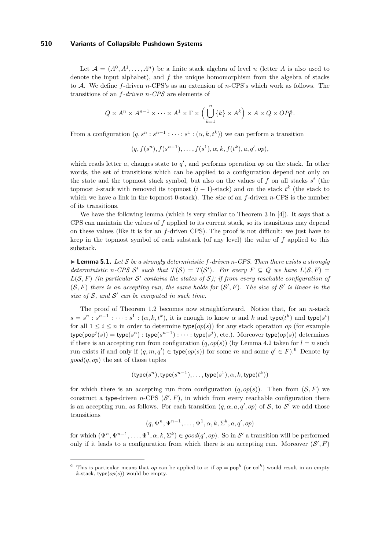Let  $A = (A^0, A^1, \ldots, A^n)$  be a finite stack algebra of level *n* (letter *A* is also used to denote the input alphabet), and *f* the unique homomorphism from the algebra of stacks to A. We define *f*-driven *n*-CPS's as an extension of *n*-CPS's which work as follows. The transitions of an *f-driven n-CPS* are elements of

$$
Q \times A^{n} \times A^{n-1} \times \cdots \times A^{1} \times \Gamma \times \left(\bigcup_{k=1}^{n} \{k\} \times A^{k}\right) \times A \times Q \times OP_{\Gamma}^{n}.
$$

From a configuration  $(q, s^n : s^{n-1} : \cdots : s^1 : (\alpha, k, t^k))$  we can perform a transition

$$
(q, f(s^n), f(s^{n-1}), \ldots, f(s^1), \alpha, k, f(t^k), a, q', op),
$$

which reads letter  $a$ , changes state to  $q'$ , and performs operation  $op$  on the stack. In other words, the set of transitions which can be applied to a configuration depend not only on the state and the topmost stack symbol, but also on the values of  $f$  on all stacks  $s^i$  (the topmost *i*-stack with removed its topmost  $(i-1)$ -stack) and on the stack  $t^k$  (the stack to which we have a link in the topmost 0-stack). The *size* of an *f*-driven *n*-CPS is the number of its transitions.

We have the following lemma (which is very similar to Theorem 3 in [\[4\]](#page-14-5)). It says that a CPS can maintain the values of *f* applied to its current stack, so its transitions may depend on these values (like it is for an *f*-driven CPS). The proof is not difficult: we just have to keep in the topmost symbol of each substack (of any level) the value of *f* applied to this substack.

<span id="page-10-0"></span> $\blacktriangleright$  **Lemma 5.1.** Let S be a strongly deterministic f-driven n-CPS. Then there exists a strongly *deterministic n*-CPS S' such that  $T(S) = T(S')$ . For every  $F \subseteq Q$  we have  $L(S, F) =$  $L(S, F)$  (in particular S' contains the states of S); if from every reachable configuration of  $(S, F)$  there is an accepting run, the same holds for  $(S', F)$ . The size of S' is linear in the size of  $S$ , and  $S'$  can be computed in such time.

The proof of Theorem [1.2](#page-2-0) becomes now straightforward. Notice that, for an *n*-stack  $s = s^n : s^{n-1} : \cdots : s^1 : (\alpha, k, t^k)$ , it is enough to know  $\alpha$  and  $k$  and type( $t^k$ ) and type( $s^i$ ) for all  $1 \leq i \leq n$  in order to determine type $(op(s))$  for any stack operation *op* (for example  $\textrm{type}(\mathsf{pop}^j(s)) = \textrm{type}(s^n) : \textrm{type}(s^{n-1}) : \cdots : \textrm{type}(s^j),\, \textrm{etc.}).$  Moreover  $\textrm{type}(op(s))$  determines if there is an accepting run from configuration  $(q, op(s))$  (by Lemma [4.2](#page-7-0) taken for  $l = n$  such run exists if and only if  $(q, m, q') \in \text{type}(op(s))$  for some *m* and some  $q' \in F$ ).<sup>6</sup> Denote by *good*(*q, op*) the set of those tuples

$$
(\text{type}(s^n), \text{type}(s^{n-1}), \dots, \text{type}(s^1), \alpha, k, \text{type}(t^k))
$$

for which there is an accepting run from configuration  $(q, op(s))$ . Then from  $(S, F)$  we construct a type-driven *n*-CPS  $(S', F)$ , in which from every reachable configuration there is an accepting run, as follows. For each transition  $(q, \alpha, a, q', op)$  of S, to S' we add those transitions

$$
(q, \Psi^n, \Psi^{n-1}, \dots, \Psi^1, \alpha, k, \Sigma^k, a, q', op)
$$

for which  $(\Psi^n, \Psi^{n-1}, \dots, \Psi^1, \alpha, k, \Sigma^k) \in good(q', op)$ . So in S' a transition will be performed only if it leads to a configuration from which there is an accepting run. Moreover  $(S', F)$ 

<sup>&</sup>lt;sup>6</sup> This is particular means that *op* can be applied to *s*: if  $op = pop<sup>k</sup>$  (or  $col<sup>k</sup>$ ) would result in an empty *k*-stack, type(*op*(*s*)) would be empty.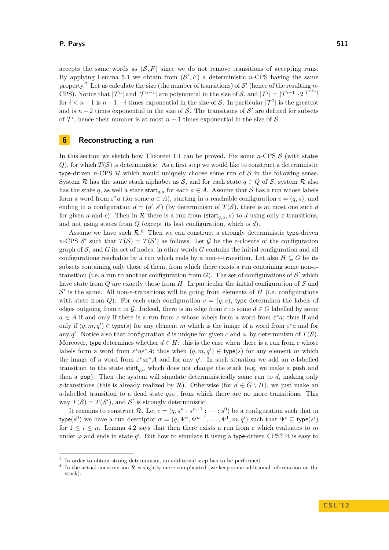accepts the same words as  $(S, F)$  since we do not remove transitions of accepting runs. By applying Lemma [5.1](#page-10-0) we obtain from  $(S', F)$  a deterministic *n*-CPS having the same property.<sup>7</sup> Let us calculate the size (the number of transitions) of  $\mathcal{S}'$  (hence of the resulting *n*-CPS). Notice that  $|\mathcal{T}^n|$  and  $|\mathcal{T}^{n-1}|$  are polynomial in the size of S, and  $|\mathcal{T}^i| = |\mathcal{T}^{i+1}| \cdot 2^{|\mathcal{T}^{i+1}|}$ for  $i < n-1$  is  $n-1-i$  times exponential in the size of S. In particular  $|\mathcal{T}^1|$  is the greatest and is  $n-2$  times exponential in the size of S. The transitions of  $S'$  are defined for subsets of  $\mathcal{T}^i$ , hence their number is at most  $n-1$  times exponential in the size of S.

# <span id="page-11-0"></span>**6 Reconstructing a run**

In this section we sketch how Theorem [1.1](#page-1-0) can be proved. Fix some  $n$ -CPS  $S$  (with states  $Q$ ), for which  $T(S)$  is deterministic. As a first step we would like to construct a deterministic type-driven *n*-CPS  $\mathcal R$  which would uniquely choose some run of  $\mathcal S$  in the following sense. System R has the same stack alphabet as S, and for each state  $q \in Q$  of S, system R also has the state *q*, as well a state start<sub>*q,a*</sub> for each  $a \in A$ . Assume that S has a run whose labels form a word from  $\varepsilon^* a$  (for some  $a \in A$ ), starting in a reachable configuration  $c = (q, s)$ , and ending in a configuration  $d = (q', s')$  (by determinism of  $T(S)$ , there is at most one such *d* for given *a* and *c*). Then in R there is a run from (start<sub>a,a</sub>, s) to *d* using only  $\varepsilon$ -transitions, and not using states from *Q* (except its last configuration, which is *d*).

Assume we have such  $\mathcal{R}$ <sup>8</sup>. Then we can construct a strongly deterministic type-driven *n*-CPS S' such that  $T(S) = T(S')$  as follows. Let G be the *ε*-closure of the configuration graph of  $S$ , and  $G$  its set of nodes; in other words  $G$  contains the initial configuration and all configurations reachable by a run which ends by a non- $\varepsilon$ -transition. Let also  $H \subseteq G$  be its subsets containing only those of them, from which there exists a run containing some non-*ε*transition (i.e. a run to another configuration from  $G$ ). The set of configurations of  $\mathcal{S}'$  which have state from  $Q$  are exactly those from  $H$ . In particular the initial configuration of  $S$  and  $S'$  is the same. All non-ε-transitions will be going from elements of *H* (i.e. configurations with state from *Q*). For each such configuration  $c = (q, s)$ , type determines the labels of edges outgoing from *c* in G. Indeed, there is an edge from *c* to some  $d \in G$  labelled by some  $a \in A$  if and only if there is a run from *c* whose labels form a word from  $\varepsilon^* a$ ; thus if and only if  $(q, m, q') \in \text{type}(s)$  for any element *m* which is the image of a word from  $\varepsilon^* a$  and for any  $q'$ . Notice also that configuration *d* is unique for given *c* and *a*, by determinism of  $T(S)$ . Moreover, type determines whether  $d \in H$ : this is the case when there is a run from *c* whose labels form a word from  $\varepsilon^* a \varepsilon^* A$ ; thus when  $(q, m, q') \in \text{type}(s)$  for any element *m* which the image of a word from  $\varepsilon^* a \varepsilon^* A$  and for any  $q'$ . In such situation we add an *a*-labelled transition to the state start<sub>q,a</sub> which does not change the stack (e.g. we make a push and then a pop). Then the system will simulate deterministically some run to *d*, making only *ε*-transitions (this is already realized by  $\mathcal{R}$ ). Otherwise (for  $d \in G \setminus H$ ), we just make an *a*-labelled transition to a dead state *qdie*, from which there are no more transitions. This way  $T(S) = T(S')$ , and S' is strongly deterministic.

It remains to construct R. Let  $c = (q, s^n : s^{n-1} : \cdots : s^0)$  be a configuration such that in type( $s^0$ ) we have a run descriptor  $\sigma = (q, \Psi^n, \Psi^{n-1}, \dots, \Psi^1, m, q)$  such that  $\Psi^i \subseteq \text{type}(s^i)$ for  $1 \leq i \leq n$ . Lemma [4.2](#page-7-0) says that then there exists a run from *c* which evaluates to *m* under  $\varphi$  and ends in state  $q'$ . But how to simulate it using a type-driven CPS? It is easy to

<sup>&</sup>lt;sup>7</sup> In order to obtain strong determinism, an additional step has to be performed.

<sup>&</sup>lt;sup>8</sup> In the actual construction  $\mathcal R$  is slightly more complicated (we keep some additional information on the stack).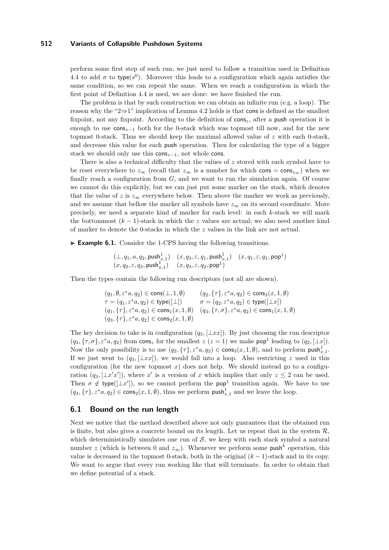perform some first step of such run; we just need to follow a transition used in Definition [4.4](#page-8-1) to add  $\sigma$  to type( $s^0$ ). Moreover this leads to a configuration which again satisfies the same condition, so we can repeat the same. When we reach a configuration in which the first point of Definition [4.4](#page-8-1) is used, we are done: we have finished the run.

The problem is that by such construction we can obtain an infinite run (e.g. a loop). The reason why the "2⇒1" implication of Lemma [4.2](#page-7-0) holds is that cons is defined as the smallest fixpoint, not any fixpoint. According to the definition of cons*z*, after a push operation it is enough to use cons*z*−<sup>1</sup> both for the 0-stack which was topmost till now, and for the new topmost 0-stack. Thus we should keep the maximal allowed value of *z* with each 0-stack, and decrease this value for each push operation. Then for calculating the type of a bigger stack we should only use this cons*z*−1, not whole cons.

There is also a technical difficulty that the values of *z* stored with each symbol have to be reset everywhere to  $z_{\infty}$  (recall that  $z_{\infty}$  is a number for which cons = cons<sub> $z_{\infty}$ </sub>) when we finally reach a configuration from *G*, and we want to run the simulation again. Of course we cannot do this explicitly, but we can just put some marker on the stack, which denotes that the value of *z* is  $z_{\infty}$  everywhere below. Then above the marker we work as previously, and we assume that bellow the marker all symbols have  $z_{\infty}$  on its second coordinate. More precisely, we need a separate kind of marker for each level: in each *k*-stack we will mark the bottommost  $(k-1)$ -stack in which the *z* values are actual; we also need another kind of marker to denote the 0-stacks in which the *z* values in the link are not actual.

► **Example 6.1.** Consider the 1-CPS having the following transitions.

$$
\begin{array}{ll}\bigl(\bot,q_1,a,q_2,\mathsf{push}_{x,1}^1\bigr)&(x,q_3,\varepsilon,q_1,\mathsf{push}_{x,1}^1) & (x,q_1,\varepsilon,q_1,\mathsf{pop}^1)\\ \bigl(x,q_2,\varepsilon,q_3,\mathsf{push}_{x,1}^1\bigr)&(x,q_3,\varepsilon,q_2,\mathsf{pop}^1)\end{array}
$$

Then the types contain the following run descriptors (not all are shown).

$$
\begin{array}{ll} (q_1,\emptyset,\varepsilon^*a,q_2)\in \text{cons}(\bot,1,\emptyset) & (q_2,\{\tau\},\varepsilon^*a,q_2)\in \text{cons}_3(x,1,\emptyset) \\ \tau=(q_1,\varepsilon^*a,q_2)\in \text{type}([\bot]) & \sigma=(q_2,\varepsilon^*a,q_2)\in \text{type}([\bot x]) \\ (q_1,\{\tau\},\varepsilon^*a,q_2)\in \text{cons}_1(x,1,\emptyset) & (q_3,\{\tau,\sigma\},\varepsilon^*a,q_2)\in \text{cons}_1(x,1,\emptyset) \\ (q_3,\{\tau\},\varepsilon^*a,q_2)\in \text{cons}_2(x,1,\emptyset) \end{array}
$$

The key decision to take is in configuration  $(q_3, [\perp xx])$ . By just choosing the run descriptor  $(q_3, {\tau, \sigma}, \varepsilon^* a, q_2)$  from cons<sub>z</sub> for the smallest  $z (z = 1)$  we make pop<sup>1</sup> leading to  $(q_2, {\lfloor \pm x \rfloor}).$ Now the only possibility is to use  $(q_2, \{\tau\}, \varepsilon^* a, q_2) \in \text{cons}_3(x, 1, \emptyset)$ , and to perform  $\text{push}_{x,1}^1$ . If we just went to  $(q_3, [\perp xx])$ , we would fall into a loop. Also restricting *z* used in this configuration (for the new topmost  $x$ ) does not help. We should instead go to a configuration  $(q_3, [\perp x' x'])$ , where  $x'$  is a version of *x* which implies that only  $z \leq 2$  can be used. Then  $\sigma \notin \text{type}([\bot x'])$ , so we cannot perform the pop<sup>1</sup> transition again. We have to use  $(q_3, {\tau}, \varepsilon^* a, q_2) \in \text{cons}_2(x, 1, \emptyset)$ , thus we perform  $\text{push}_{x,1}^1$  and we leave the loop.

## <span id="page-12-0"></span>**6.1 Bound on the run length**

Next we notice that the method described above not only guarantees that the obtained run is finite, but also gives a concrete bound on its length. Let us repeat that in the system  $\mathcal{R}$ , which deterministically simulates one run of  $S$ , we keep with each stack symbol a natural number *z* (which is between 0 and  $z_{\infty}$ ). Whenever we perform some push<sup>k</sup> operation, this value is decreased in the topmost 0-stack, both in the original  $(k-1)$ -stack and in its copy. We want to argue that every run working like that will terminate. In order to obtain that we define potential of a stack.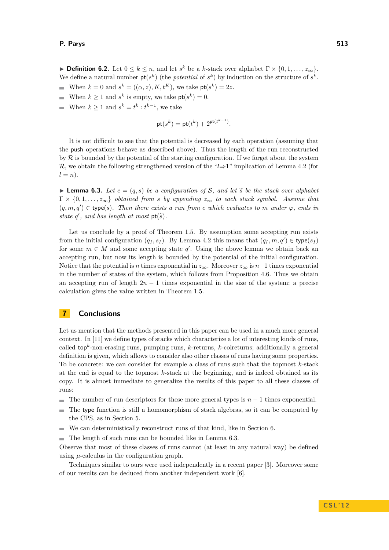**Definition 6.2.** Let  $0 \le k \le n$ , and let  $s^k$  be a *k*-stack over alphabet  $\Gamma \times \{0, 1, \ldots, z_{\infty}\}.$ We define a natural number  $\mathsf{pt}(s^k)$  (the *potential* of  $s^k$ ) by induction on the structure of  $s^k$ . When  $k = 0$  and  $s^k = ((\alpha, z), K, t^K)$ , we take  $pt(s^k) = 2z$ .  $\blacksquare$ 

- When  $k \geq 1$  and  $s^k$  is empty, we take  $pt(s^k) = 0$ .
- When  $k \geq 1$  and  $s^k = t^k : t^{k-1}$ , we take

$$
\mathsf{pt}(s^k) = \mathsf{pt}(t^k) + 2^{\mathsf{pt}(t^{k-1})}.
$$

It is not difficult to see that the potential is decreased by each operation (assuming that the push operations behave as described above). Thus the length of the run reconstructed by  $R$  is bounded by the potential of the starting configuration. If we forget about the system R, we obtain the following strengthened version of the '2⇒1" implication of Lemma [4.2](#page-7-0) (for  $l = n$ ).

<span id="page-13-0"></span>**I Lemma 6.3.** Let  $c = (q, s)$  be a configuration of S, and let  $\tilde{s}$  be the stack over alphabet  $\Gamma \times \{0, 1, \ldots, z_{\infty}\}\$  *obtained from s by appending*  $z_{\infty}$  *to each stack symbol. Assume that*  $(q, m, q') \in type(s)$ . Then there exists a run from c which evaluates to m under  $\varphi$ , ends in *state*  $q'$ , and has length at most  $pt(\tilde{s})$ .

Let us conclude by a proof of Theorem [1.5.](#page-3-0) By assumption some accepting run exists from the initial configuration  $(q_I, s_I)$ . By Lemma [4.2](#page-7-0) this means that  $(q_I, m, q') \in \text{type}(s_I)$ for some  $m \in M$  and some accepting state  $q'$ . Using the above lemma we obtain back an accepting run, but now its length is bounded by the potential of the initial configuration. Notice that the potential is *n* times exponential in  $z_{\infty}$ . Moreover  $z_{\infty}$  is *n*−1 times exponential in the number of states of the system, which follows from Proposition [4.6.](#page-9-2) Thus we obtain an accepting run of length  $2n - 1$  times exponential in the size of the system; a precise calculation gives the value written in Theorem [1.5.](#page-3-0)

# **7 Conclusions**

Let us mention that the methods presented in this paper can be used in a much more general context. In [\[11\]](#page-14-4) we define types of stacks which characterize a lot of interesting kinds of runs, called top*<sup>k</sup>* -non-erasing runs, pumping runs, *k*-returns, *k*-colreturns; additionally a general definition is given, which allows to consider also other classes of runs having some properties. To be concrete: we can consider for example a class of runs such that the topmost *k*-stack at the end is equal to the topmost *k*-stack at the beginning, and is indeed obtained as its copy. It is almost immediate to generalize the results of this paper to all these classes of runs:

- The number of run descriptors for these more general types is  $n-1$  times exponential.  $\rightarrow$
- The type function is still a homomorphism of stack algebras, so it can be computed by  $\overline{\phantom{a}}$ the CPS, as in Section [5.](#page-9-1)
- We can deterministically reconstruct runs of that kind, like in Section [6.](#page-11-0)  $\blacksquare$
- $\rightarrow$ The length of such runs can be bounded like in Lemma [6.3.](#page-13-0)

Observe that most of these classes of runs cannot (at least in any natural way) be defined using  $\mu$ -calculus in the configuration graph.

Techniques similar to ours were used independently in a recent paper [\[3\]](#page-14-10). Moreover some of our results can be deduced from another independent work [\[6\]](#page-14-11).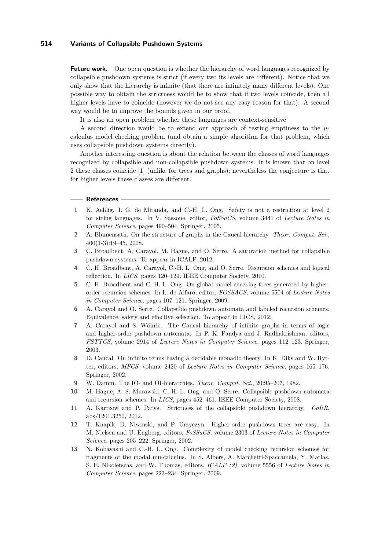**Future work.** One open question is whether the hierarchy of word languages recognized by collapsible pushdown systems is strict (if every two its levels are different). Notice that we only show that the hierarchy is infinite (that there are infinitely many different levels). One possible way to obtain the strictness would be to show that if two levels coincide, then all higher levels have to coincide (however we do not see any easy reason for that). A second way would be to improve the bounds given in our proof.

It is also an open problem whether these languages are context-sensitive.

A second direction would be to extend our approach of testing emptiness to the *µ*calculus model checking problem (and obtain a simple algorithm for that problem, which uses collapsible pushdown systems directly).

Another interesting question is about the relation between the classes of word languages recognized by collapsible and non-collapsible pushdown systems. It is known that on level 2 these classes coincide [\[1\]](#page-14-12) (unlike for trees and graphs); nevertheless the conjecture is that for higher levels these classes are different.

#### **References**

- <span id="page-14-12"></span>**1** K. Aehlig, J. G. de Miranda, and C.-H. L. Ong. Safety is not a restriction at level 2 for string languages. In V. Sassone, editor, *FoSSaCS*, volume 3441 of *Lecture Notes in Computer Science*, pages 490–504. Springer, 2005.
- <span id="page-14-9"></span>**2** A. Blumensath. On the structure of graphs in the Caucal hierarchy. *Theor. Comput. Sci.*, 400(1-3):19–45, 2008.
- <span id="page-14-10"></span>**3** C. Broadbent, A. Carayol, M. Hague, and O. Serre. A saturation method for collapsible pushdown systems. To appear in ICALP, 2012.
- <span id="page-14-5"></span>**4** C. H. Broadbent, A. Carayol, C.-H. L. Ong, and O. Serre. Recursion schemes and logical reflection. In *LICS*, pages 120–129. IEEE Computer Society, 2010.
- <span id="page-14-7"></span>**5** C. H. Broadbent and C.-H. L. Ong. On global model checking trees generated by higherorder recursion schemes. In L. de Alfaro, editor, *FOSSACS*, volume 5504 of *Lecture Notes in Computer Science*, pages 107–121. Springer, 2009.
- <span id="page-14-11"></span>**6** A. Carayol and O. Serre. Collapsible pushdown automata and labeled recursion schemes. Equivalence, safety and effective selection. To appear in LICS, 2012.
- <span id="page-14-2"></span>**7** A. Carayol and S. Wöhrle. The Caucal hierarchy of infinite graphs in terms of logic and higher-order pushdown automata. In P. K. Pandya and J. Radhakrishnan, editors, *FSTTCS*, volume 2914 of *Lecture Notes in Computer Science*, pages 112–123. Springer, 2003.
- <span id="page-14-1"></span>**8** D. Caucal. On infinite terms having a decidable monadic theory. In K. Diks and W. Rytter, editors, *MFCS*, volume 2420 of *Lecture Notes in Computer Science*, pages 165–176. Springer, 2002.
- <span id="page-14-6"></span>**9** W. Damm. The IO- and OI-hierarchies. *Theor. Comput. Sci.*, 20:95–207, 1982.
- <span id="page-14-3"></span>**10** M. Hague, A. S. Murawski, C.-H. L. Ong, and O. Serre. Collapsible pushdown automata and recursion schemes. In *LICS*, pages 452–461. IEEE Computer Society, 2008.
- <span id="page-14-4"></span>**11** A. Kartzow and P. Parys. Strictness of the collapsible pushdown hierarchy. *CoRR*, abs/1201.3250, 2012.
- <span id="page-14-0"></span>**12** T. Knapik, D. Niwinski, and P. Urzyczyn. Higher-order pushdown trees are easy. In M. Nielsen and U. Engberg, editors, *FoSSaCS*, volume 2303 of *Lecture Notes in Computer Science*, pages 205–222. Springer, 2002.
- <span id="page-14-8"></span>**13** N. Kobayashi and C.-H. L. Ong. Complexity of model checking recursion schemes for fragments of the modal mu-calculus. In S. Albers, A. Marchetti-Spaccamela, Y. Matias, S. E. Nikoletseas, and W. Thomas, editors, *ICALP (2)*, volume 5556 of *Lecture Notes in Computer Science*, pages 223–234. Springer, 2009.